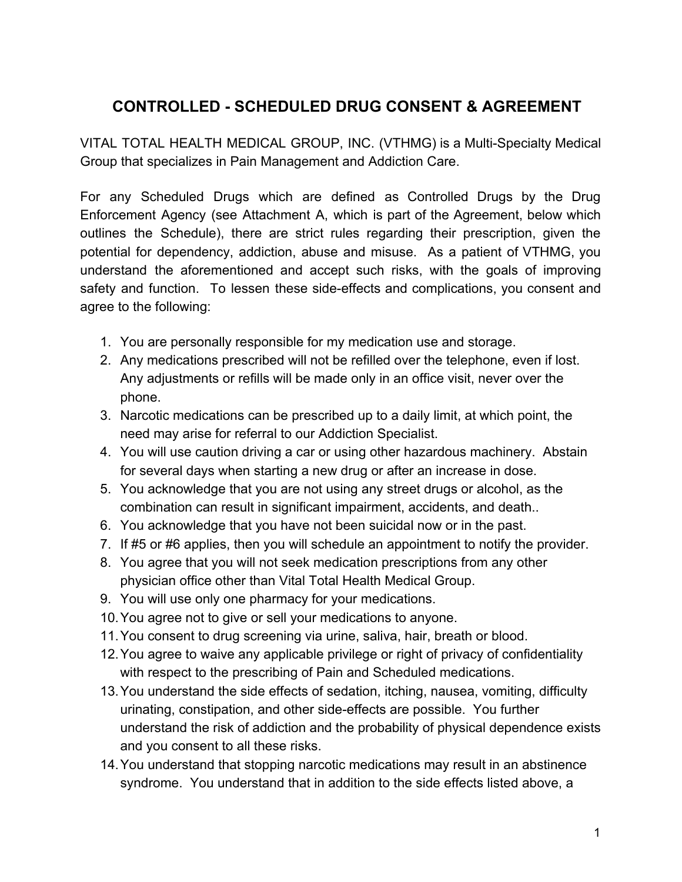# **CONTROLLED - SCHEDULED DRUG CONSENT & AGREEMENT**

VITAL TOTAL HEALTH MEDICAL GROUP, INC. (VTHMG) is a Multi-Specialty Medical Group that specializes in Pain Management and Addiction Care.

For any Scheduled Drugs which are defined as Controlled Drugs by the Drug Enforcement Agency (see Attachment A, which is part of the Agreement, below which outlines the Schedule), there are strict rules regarding their prescription, given the potential for dependency, addiction, abuse and misuse. As a patient of VTHMG, you understand the aforementioned and accept such risks, with the goals of improving safety and function. To lessen these side-effects and complications, you consent and agree to the following:

- 1. You are personally responsible for my medication use and storage.
- 2. Any medications prescribed will not be refilled over the telephone, even if lost. Any adjustments or refills will be made only in an office visit, never over the phone.
- 3. Narcotic medications can be prescribed up to a daily limit, at which point, the need may arise for referral to our Addiction Specialist.
- 4. You will use caution driving a car or using other hazardous machinery. Abstain for several days when starting a new drug or after an increase in dose.
- 5. You acknowledge that you are not using any street drugs or alcohol, as the combination can result in significant impairment, accidents, and death..
- 6. You acknowledge that you have not been suicidal now or in the past.
- 7. If #5 or #6 applies, then you will schedule an appointment to notify the provider.
- 8. You agree that you will not seek medication prescriptions from any other physician office other than Vital Total Health Medical Group.
- 9. You will use only one pharmacy for your medications.
- 10.You agree not to give or sell your medications to anyone.
- 11.You consent to drug screening via urine, saliva, hair, breath or blood.
- 12.You agree to waive any applicable privilege or right of privacy of confidentiality with respect to the prescribing of Pain and Scheduled medications.
- 13.You understand the side effects of sedation, itching, nausea, vomiting, difficulty urinating, constipation, and other side-effects are possible. You further understand the risk of addiction and the probability of physical dependence exists and you consent to all these risks.
- 14.You understand that stopping narcotic medications may result in an abstinence syndrome. You understand that in addition to the side effects listed above, a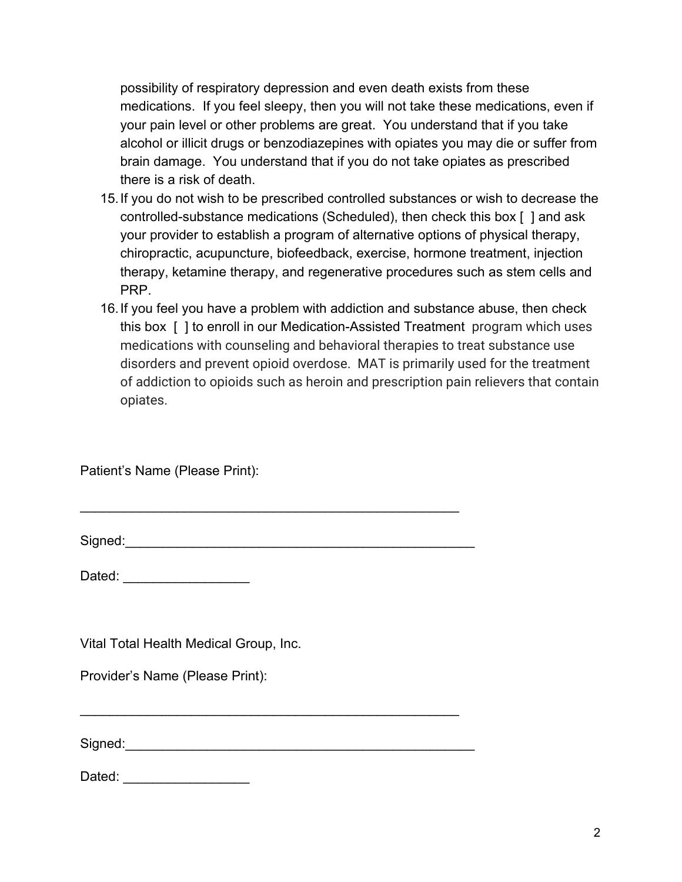possibility of respiratory depression and even death exists from these medications. If you feel sleepy, then you will not take these medications, even if your pain level or other problems are great. You understand that if you take alcohol or illicit drugs or benzodiazepines with opiates you may die or suffer from brain damage. You understand that if you do not take opiates as prescribed there is a risk of death.

- 15.If you do not wish to be prescribed controlled substances or wish to decrease the controlled-substance medications (Scheduled), then check this box [ ] and ask your provider to establish a program of alternative options of physical therapy, chiropractic, acupuncture, biofeedback, exercise, hormone treatment, injection therapy, ketamine therapy, and regenerative procedures such as stem cells and PRP.
- 16.If you feel you have a problem with addiction and substance abuse, then check this box [ ] to enroll in our Medication-Assisted Treatment program which uses medications with counseling and behavioral therapies to treat substance use disorders and prevent opioid overdose. MAT is primarily used for the treatment of addiction to opioids such as heroin and prescription pain relievers that contain opiates.

Patient's Name (Please Print):

Signed:\_\_\_\_\_\_\_\_\_\_\_\_\_\_\_\_\_\_\_\_\_\_\_\_\_\_\_\_\_\_\_\_\_\_\_\_\_\_\_\_\_\_\_\_\_\_\_

\_\_\_\_\_\_\_\_\_\_\_\_\_\_\_\_\_\_\_\_\_\_\_\_\_\_\_\_\_\_\_\_\_\_\_\_\_\_\_\_\_\_\_\_\_\_\_\_\_\_\_

\_\_\_\_\_\_\_\_\_\_\_\_\_\_\_\_\_\_\_\_\_\_\_\_\_\_\_\_\_\_\_\_\_\_\_\_\_\_\_\_\_\_\_\_\_\_\_\_\_\_\_

Dated:  $\Box$ 

Vital Total Health Medical Group, Inc.

Provider's Name (Please Print):

Signed:\_\_\_\_\_\_\_\_\_\_\_\_\_\_\_\_\_\_\_\_\_\_\_\_\_\_\_\_\_\_\_\_\_\_\_\_\_\_\_\_\_\_\_\_\_\_\_

Dated:  $\Box$